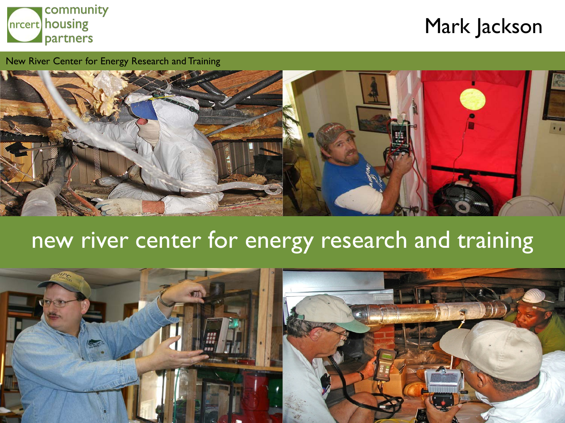

## Mark Jackson

New River Center for Energy Research and Training



# new river center for energy research and training

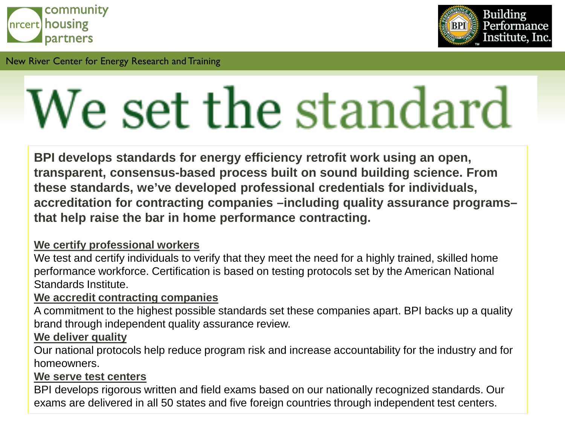



# We set the standard

**BPI develops standards for energy efficiency retrofit work using an open, transparent, consensus-based process built on sound building science. From these standards, we've developed professional credentials for individuals, accreditation for contracting companies –including quality assurance programs– that help raise the bar in home performance contracting.**

#### **We certify professional workers**

We test and certify individuals to verify that they meet the need for a highly trained, skilled home performance workforce. Certification is based on testing protocols set by the American National Standards Institute.

#### **We accredit contracting companies**

A commitment to the highest possible standards set these companies apart. BPI backs up a quality brand through independent quality assurance review.

#### **We deliver quality**

Our national protocols help reduce program risk and increase accountability for the industry and for homeowners.

#### **We serve test centers**

BPI develops rigorous written and field exams based on our nationally recognized standards. Our exams are delivered in all 50 states and five foreign countries through independent test centers.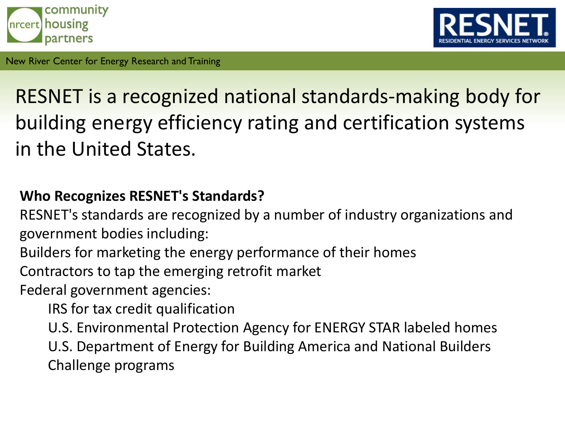



# RESNET is a recognized national standards-making body for building energy efficiency rating and certification systems in the United States.

### **Who Recognizes RESNET's Standards?**

RESNET's standards are recognized by a number of industry organizations and government bodies including:

Builders for marketing the energy performance of their homes

Contractors to tap the emerging retrofit market

Federal government agencies:

IRS for tax credit qualification

U.S. Environmental Protection Agency for ENERGY STAR labeled homes U.S. Department of Energy for Building America and National Builders Challenge programs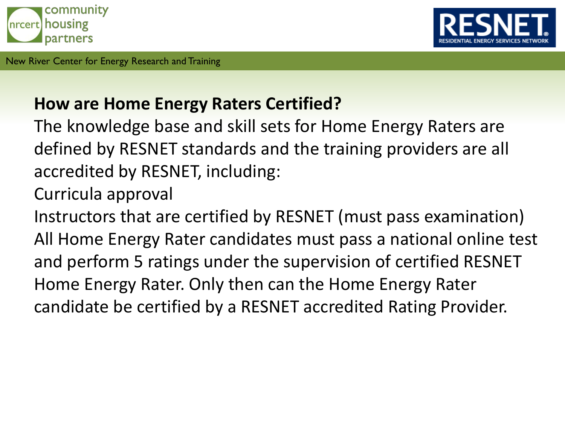



## **How are Home Energy Raters Certified?**

The knowledge base and skill sets for Home Energy Raters are defined by RESNET standards and the training providers are all accredited by RESNET, including:

Curricula approval

Instructors that are certified by RESNET (must pass examination) All Home Energy Rater candidates must pass a national online test and perform 5 ratings under the supervision of certified RESNET Home Energy Rater. Only then can the Home Energy Rater candidate be certified by a RESNET accredited Rating Provider.